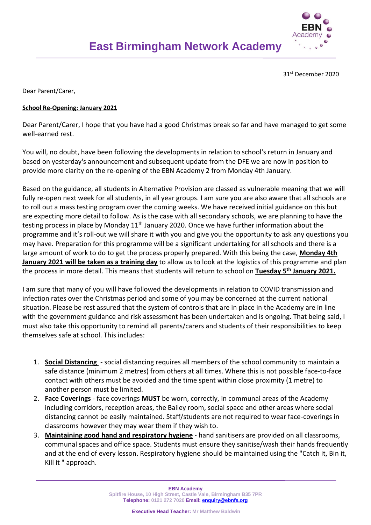

31st December 2020

Dear Parent/Carer,

## **School Re-Opening: January 2021**

Dear Parent/Carer, I hope that you have had a good Christmas break so far and have managed to get some well-earned rest.

You will, no doubt, have been following the developments in relation to school's return in January and based on yesterday's announcement and subsequent update from the DFE we are now in position to provide more clarity on the re-opening of the EBN Academy 2 from Monday 4th January.

Based on the guidance, all students in Alternative Provision are classed as vulnerable meaning that we will fully re-open next week for all students, in all year groups. I am sure you are also aware that all schools are to roll out a mass testing program over the coming weeks. We have received initial guidance on this but are expecting more detail to follow. As is the case with all secondary schools, we are planning to have the testing process in place by Monday  $11<sup>th</sup>$  January 2020. Once we have further information about the programme and it's roll-out we will share it with you and give you the opportunity to ask any questions you may have. Preparation for this programme will be a significant undertaking for all schools and there is a large amount of work to do to get the process properly prepared. With this being the case, **Monday 4th January 2021 will be taken as a training day** to allow us to look at the logistics of this programme and plan the process in more detail. This means that students will return to school on **Tuesday 5th January 2021.**

I am sure that many of you will have followed the developments in relation to COVID transmission and infection rates over the Christmas period and some of you may be concerned at the current national situation. Please be rest assured that the system of controls that are in place in the Academy are in line with the government guidance and risk assessment has been undertaken and is ongoing. That being said, I must also take this opportunity to remind all parents/carers and students of their responsibilities to keep themselves safe at school. This includes:

- 1. **Social Distancing** social distancing requires all members of the school community to maintain a safe distance (minimum 2 metres) from others at all times. Where this is not possible face-to-face contact with others must be avoided and the time spent within close proximity (1 metre) to another person must be limited.
- 2. **Face Coverings** face coverings **MUST** be worn, correctly, in communal areas of the Academy including corridors, reception areas, the Bailey room, social space and other areas where social distancing cannot be easily maintained. Staff/students are not required to wear face-coverings in classrooms however they may wear them if they wish to.
- 3. **Maintaining good hand and respiratory hygiene** hand sanitisers are provided on all classrooms, communal spaces and office space. Students must ensure they sanitise/wash their hands frequently and at the end of every lesson. Respiratory hygiene should be maintained using the "Catch it, Bin it, Kill it " approach.